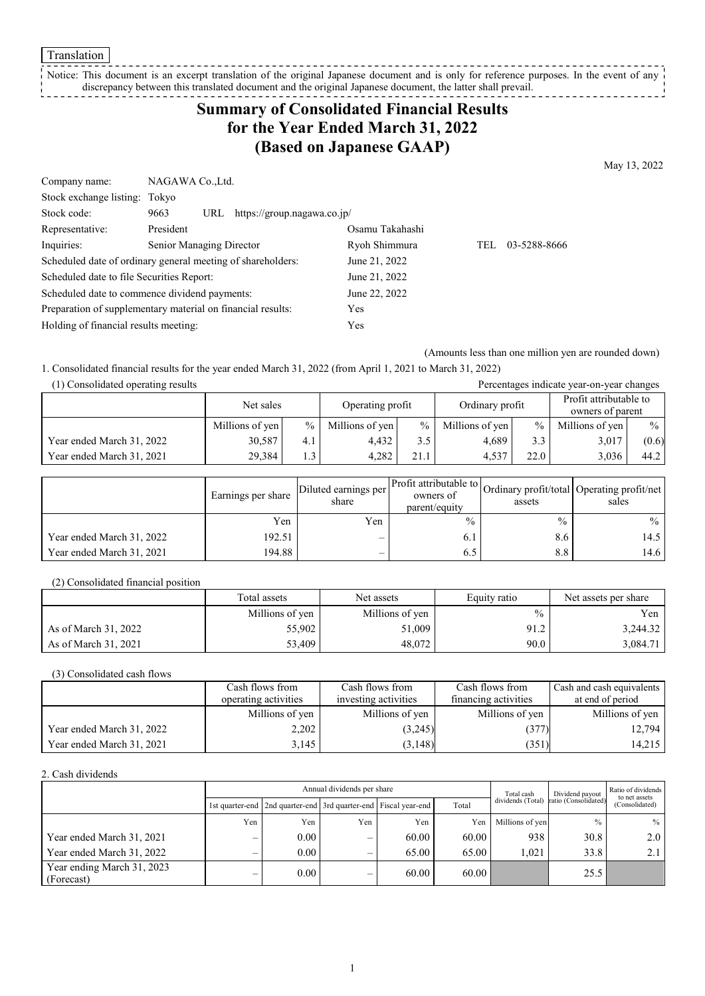Translation

#### Notice: This document is an excerpt translation of the original Japanese document and is only for reference purposes. In the event of any discrepancy between this translated document and the original Japanese document, the latter shall prevail. ------------

# **Summary of Consolidated Financial Results for the Year Ended March 31, 2022 (Based on Japanese GAAP)**

May 13, 2022

| NAGAWA Co., Ltd.                                            |                 |                                    |
|-------------------------------------------------------------|-----------------|------------------------------------|
| Stock exchange listing: Tokyo                               |                 |                                    |
| 9663<br>URL                                                 |                 |                                    |
| President                                                   | Osamu Takahashi |                                    |
| Senior Managing Director                                    | Ryoh Shimmura   | 03-5288-8666<br>TEL                |
| Scheduled date of ordinary general meeting of shareholders: | June 21, 2022   |                                    |
| Scheduled date to file Securities Report:                   | June 21, 2022   |                                    |
| Scheduled date to commence dividend payments:               | June 22, 2022   |                                    |
| Preparation of supplementary material on financial results: |                 |                                    |
| Holding of financial results meeting:                       | Yes             |                                    |
|                                                             |                 | https://group.nagawa.co.jp/<br>Yes |

(Amounts less than one million yen are rounded down)

1. Consolidated financial results for the year ended March 31, 2022 (from April 1, 2021 to March 31, 2022)

| (1) Consolidated operating results<br>Percentages indicate year-on-year changes |                 |                 |                  |               |                 |      |                                            |       |
|---------------------------------------------------------------------------------|-----------------|-----------------|------------------|---------------|-----------------|------|--------------------------------------------|-------|
|                                                                                 | Net sales       |                 | Operating profit |               | Ordinary profit |      | Profit attributable to<br>owners of parent |       |
|                                                                                 | Millions of yen | $\frac{0}{0}$ 1 | Millions of yen  | $\%$          | Millions of yen | $\%$ | Millions of yen                            | $\%$  |
| Year ended March 31, 2022                                                       | 30,587          | 4.1             | 4.432            | $3.5^{\circ}$ | 4.689           | 3.3  | 3,017                                      | (0.6) |
| Year ended March 31, 2021                                                       | 29.384          | 1.3             | 4.282            | 21.1          | 4.537           | 22.0 | 3.036                                      | 44.2  |

|                           | Earnings per share | Diluted earnings per  <br>share | owners of<br>parent/equity | assets        | er Profit attributable to Ordinary profit/total Operating profit/net <sup>1</sup><br>sales |
|---------------------------|--------------------|---------------------------------|----------------------------|---------------|--------------------------------------------------------------------------------------------|
|                           | Yen                | Yen                             | $\frac{0}{0}$              | $\frac{0}{0}$ | $\%$                                                                                       |
| Year ended March 31, 2022 | 192.51             |                                 | b. I                       | 8.6           | 14.5 I                                                                                     |
| Year ended March 31, 2021 | 194.88             |                                 | 6.5                        | 8.8           | 14.6                                                                                       |

(2) Consolidated financial position

|                      | Total assets    | Net assets      | Equity ratio  | Net assets per share |
|----------------------|-----------------|-----------------|---------------|----------------------|
|                      | Millions of yen | Millions of yen | $\frac{0}{0}$ | Yen l                |
| As of March 31, 2022 | 55.902          | 51,009          | 91.2          | 3,244.32             |
| As of March 31, 2021 | 53,409          | 48.072          | 90.0          | 3,084.71             |

(3) Consolidated cash flows

|                           | Cash flows from      | Cash flows from      | Cash flows from      | Cash and cash equivalents |
|---------------------------|----------------------|----------------------|----------------------|---------------------------|
|                           | operating activities | investing activities | financing activities | at end of period          |
|                           | Millions of yen      | Millions of yen      | Millions of yen      | Millions of yen           |
| Year ended March 31, 2022 | 2,202                | (3,245)              | (377)                | 12,794                    |
| Year ended March 31, 2021 | 3.145                | (3,148)              | (351)                | 14,215                    |

2. Cash dividends

|                                          | Annual dividends per share |                                                                 |     |       |       | Total cash        | Dividend payout      | Ratio of dividends              |
|------------------------------------------|----------------------------|-----------------------------------------------------------------|-----|-------|-------|-------------------|----------------------|---------------------------------|
|                                          |                            | 1st quarter-end 2nd quarter-end 3rd quarter-end Fiscal year-end |     |       | Total | dividends (Total) | ratio (Consolidated) | to net assets<br>(Consolidated) |
|                                          | Yen                        | Yen                                                             | Yen | Yen   | Yen   | Millions of ven   | $\frac{0}{0}$        | $%$                             |
| Year ended March 31, 2021                |                            | $0.00\,$                                                        | —   | 60.00 | 60.00 | 938               | 30.8                 | 2.0                             |
| Year ended March 31, 2022                |                            | 0.00                                                            | —   | 65.00 | 65.00 | 1.021             | 33.8                 | 2.1                             |
| Year ending March 31, 2023<br>(Forecast) |                            | 0.00                                                            | –   | 60.00 | 60.00 |                   | 25.5                 |                                 |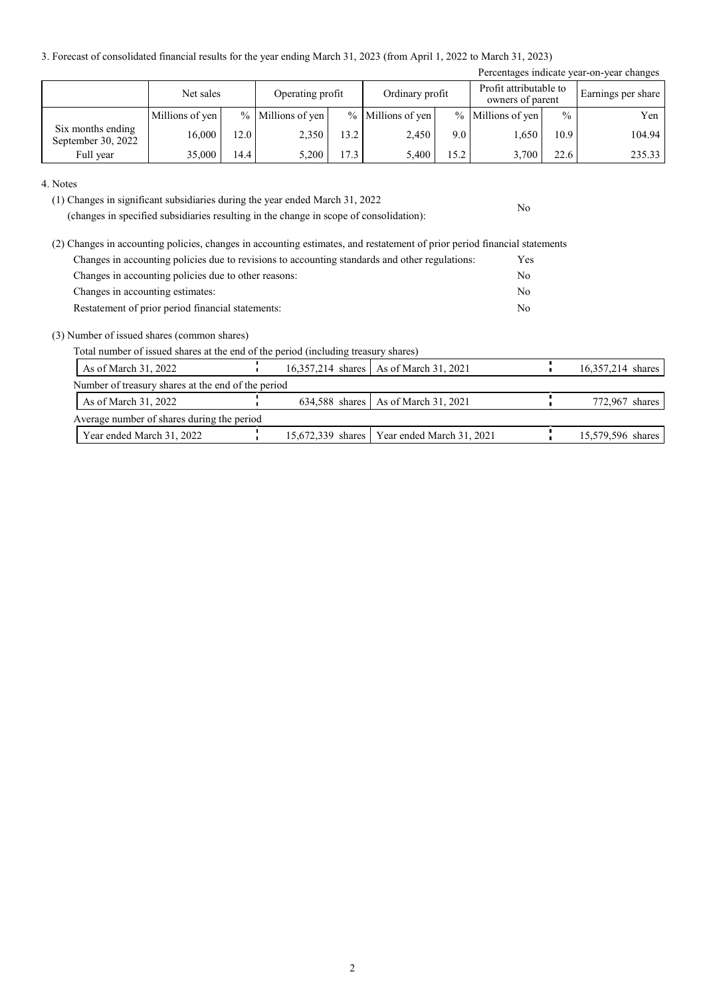3. Forecast of consolidated financial results for the year ending March 31, 2023 (from April 1, 2022 to March 31, 2023)

| Percentages indicate year-on-year changes |                 |      |                                     |      |                   |      |                     |               |                                            |  |                    |
|-------------------------------------------|-----------------|------|-------------------------------------|------|-------------------|------|---------------------|---------------|--------------------------------------------|--|--------------------|
|                                           | Net sales       |      | Ordinary profit<br>Operating profit |      |                   |      |                     |               | Profit attributable to<br>owners of parent |  | Earnings per share |
|                                           | Millions of yen |      | $%$ Millions of yen                 |      | % Millions of yen |      | $%$ Millions of yen | $\frac{0}{0}$ | Yen                                        |  |                    |
| Six months ending<br>September 30, 2022   | 16.000          | 12.0 | 2,350                               | 13.2 | 2,450             | 9.0  | 1.650               | 10.9          | 104.94                                     |  |                    |
| Full year                                 | 35,000          | 14.4 | 5,200                               | 17.3 | 5,400             | 15.2 | 3,700               | 22.6          | 235.33                                     |  |                    |

No

4. Notes

(1) Changes in significant subsidiaries during the year ended March 31, 2022

(changes in specified subsidiaries resulting in the change in scope of consolidation):

| (2) Changes in accounting policies, changes in accounting estimates, and restatement of prior period financial statements |            |
|---------------------------------------------------------------------------------------------------------------------------|------------|
| Changes in accounting policies due to revisions to accounting standards and other regulations:                            | <b>Yes</b> |
| Changes in accounting policies due to other reasons:                                                                      | No         |
| Changes in accounting estimates:                                                                                          | No         |
| Restatement of prior period financial statements:                                                                         | No         |

(3) Number of issued shares (common shares)

Total number of issued shares at the end of the period (including treasury shares)

| As of March 31, 2022                               |  | 16,357,214 shares   As of March 31, 2021      | 16,357,214 shares |
|----------------------------------------------------|--|-----------------------------------------------|-------------------|
| Number of treasury shares at the end of the period |  |                                               |                   |
| As of March 31, 2022                               |  | 634,588 shares   As of March 31, 2021         | 772,967 shares    |
| Average number of shares during the period         |  |                                               |                   |
| Year ended March 31, 2022                          |  | 15,672,339 shares   Year ended March 31, 2021 | 15,579,596 shares |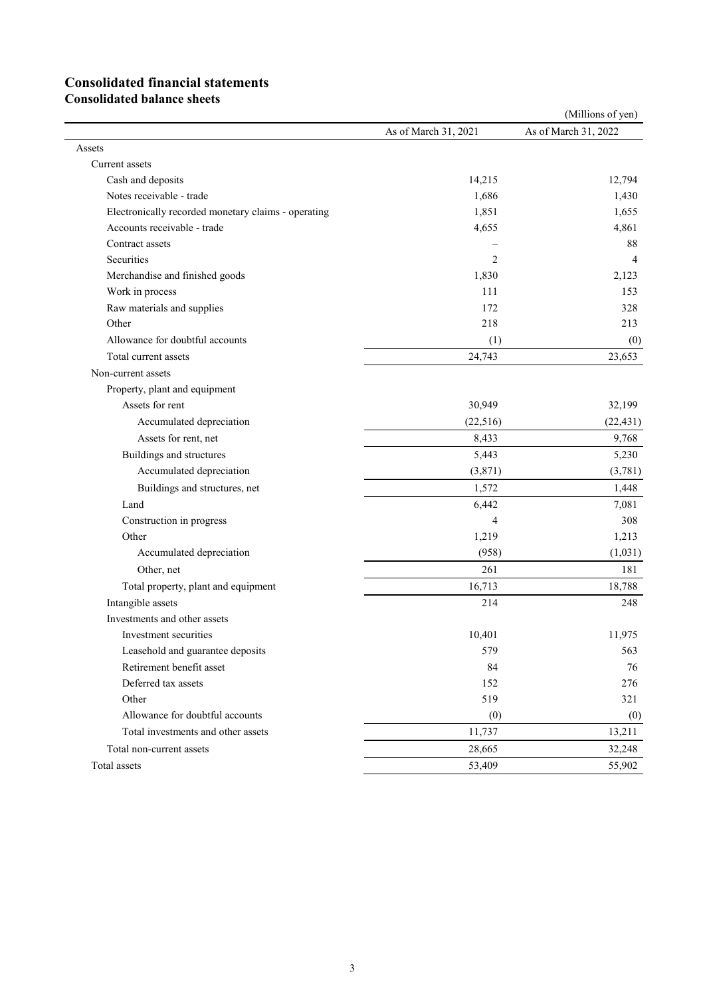# **Consolidated financial statements**

**Consolidated balance sheets**

|                                                     |                      | (Millions of yen)    |
|-----------------------------------------------------|----------------------|----------------------|
|                                                     | As of March 31, 2021 | As of March 31, 2022 |
| Assets                                              |                      |                      |
| Current assets                                      |                      |                      |
| Cash and deposits                                   | 14,215               | 12,794               |
| Notes receivable - trade                            | 1,686                | 1,430                |
| Electronically recorded monetary claims - operating | 1,851                | 1,655                |
| Accounts receivable - trade                         | 4,655                | 4,861                |
| Contract assets                                     |                      | 88                   |
| Securities                                          | $\overline{2}$       | $\overline{4}$       |
| Merchandise and finished goods                      | 1,830                | 2,123                |
| Work in process                                     | 111                  | 153                  |
| Raw materials and supplies                          | 172                  | 328                  |
| Other                                               | 218                  | 213                  |
| Allowance for doubtful accounts                     | (1)                  | (0)                  |
| Total current assets                                | 24,743               | 23,653               |
| Non-current assets                                  |                      |                      |
| Property, plant and equipment                       |                      |                      |
| Assets for rent                                     | 30,949               | 32,199               |
| Accumulated depreciation                            | (22,516)             | (22, 431)            |
| Assets for rent, net                                | 8,433                | 9,768                |
| Buildings and structures                            | 5,443                | 5,230                |
| Accumulated depreciation                            | (3,871)              | (3,781)              |
| Buildings and structures, net                       | 1,572                | 1,448                |
| Land                                                | 6,442                | 7,081                |
| Construction in progress                            | 4                    | 308                  |
| Other                                               | 1,219                | 1,213                |
| Accumulated depreciation                            | (958)                | (1,031)              |
| Other, net                                          | 261                  | 181                  |
| Total property, plant and equipment                 | 16,713               | 18,788               |
| Intangible assets                                   | 214                  | 248                  |
| Investments and other assets                        |                      |                      |
| Investment securities                               | 10,401               | 11,975               |
| Leasehold and guarantee deposits                    | 579                  | 563                  |
| Retirement benefit asset                            | 84                   | 76                   |
| Deferred tax assets                                 | 152                  | 276                  |
| Other                                               | 519                  | 321                  |
| Allowance for doubtful accounts                     | (0)                  | (0)                  |
| Total investments and other assets                  | 11,737               | 13,211               |
| Total non-current assets                            | 28,665               | 32,248               |
| Total assets                                        | 53,409               | 55,902               |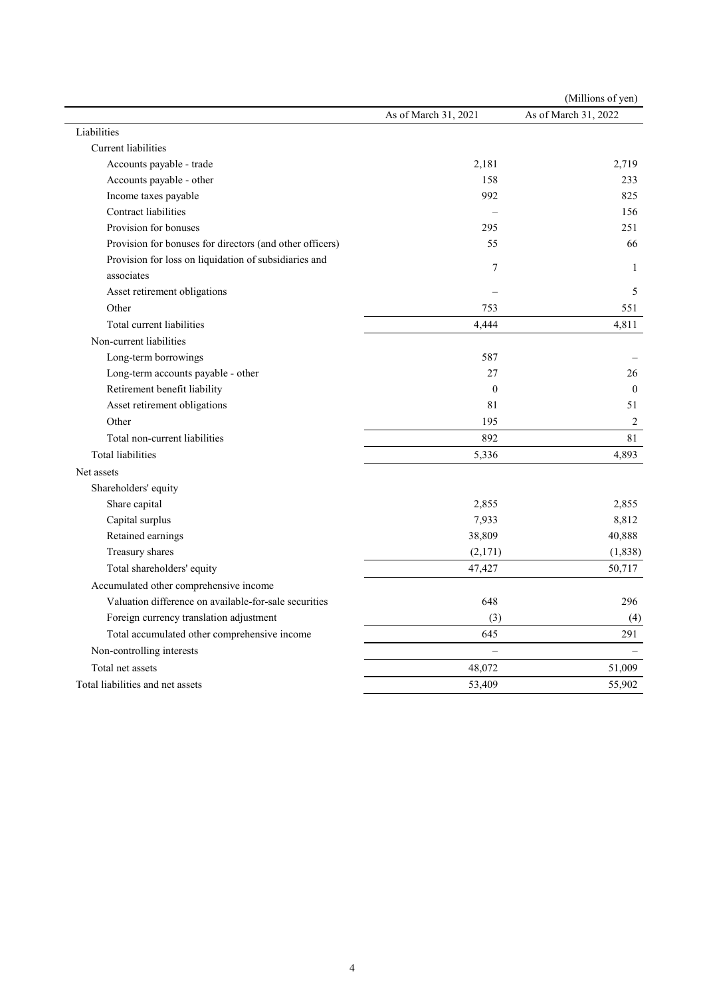|                                                          |                      | (Millions of yen)    |
|----------------------------------------------------------|----------------------|----------------------|
|                                                          | As of March 31, 2021 | As of March 31, 2022 |
| Liabilities                                              |                      |                      |
| <b>Current liabilities</b>                               |                      |                      |
| Accounts payable - trade                                 | 2,181                | 2,719                |
| Accounts payable - other                                 | 158                  | 233                  |
| Income taxes payable                                     | 992                  | 825                  |
| Contract liabilities                                     |                      | 156                  |
| Provision for bonuses                                    | 295                  | 251                  |
| Provision for bonuses for directors (and other officers) | 55                   | 66                   |
| Provision for loss on liquidation of subsidiaries and    | 7                    | 1                    |
| associates                                               |                      |                      |
| Asset retirement obligations                             |                      | 5                    |
| Other                                                    | 753                  | 551                  |
| Total current liabilities                                | 4,444                | 4,811                |
| Non-current liabilities                                  |                      |                      |
| Long-term borrowings                                     | 587                  |                      |
| Long-term accounts payable - other                       | 27                   | 26                   |
| Retirement benefit liability                             | $\mathbf{0}$         | $\boldsymbol{0}$     |
| Asset retirement obligations                             | 81                   | 51                   |
| Other                                                    | 195                  | 2                    |
| Total non-current liabilities                            | 892                  | 81                   |
| <b>Total liabilities</b>                                 | 5,336                | 4,893                |
| Net assets                                               |                      |                      |
| Shareholders' equity                                     |                      |                      |
| Share capital                                            | 2,855                | 2,855                |
| Capital surplus                                          | 7,933                | 8,812                |
| Retained earnings                                        | 38,809               | 40,888               |
| Treasury shares                                          | (2,171)              | (1, 838)             |
| Total shareholders' equity                               | 47,427               | 50,717               |
| Accumulated other comprehensive income                   |                      |                      |
| Valuation difference on available-for-sale securities    | 648                  | 296                  |
| Foreign currency translation adjustment                  | (3)                  | (4)                  |
| Total accumulated other comprehensive income             | 645                  | 291                  |
| Non-controlling interests                                |                      |                      |
| Total net assets                                         | 48,072               | 51,009               |
| Total liabilities and net assets                         | 53,409               | 55,902               |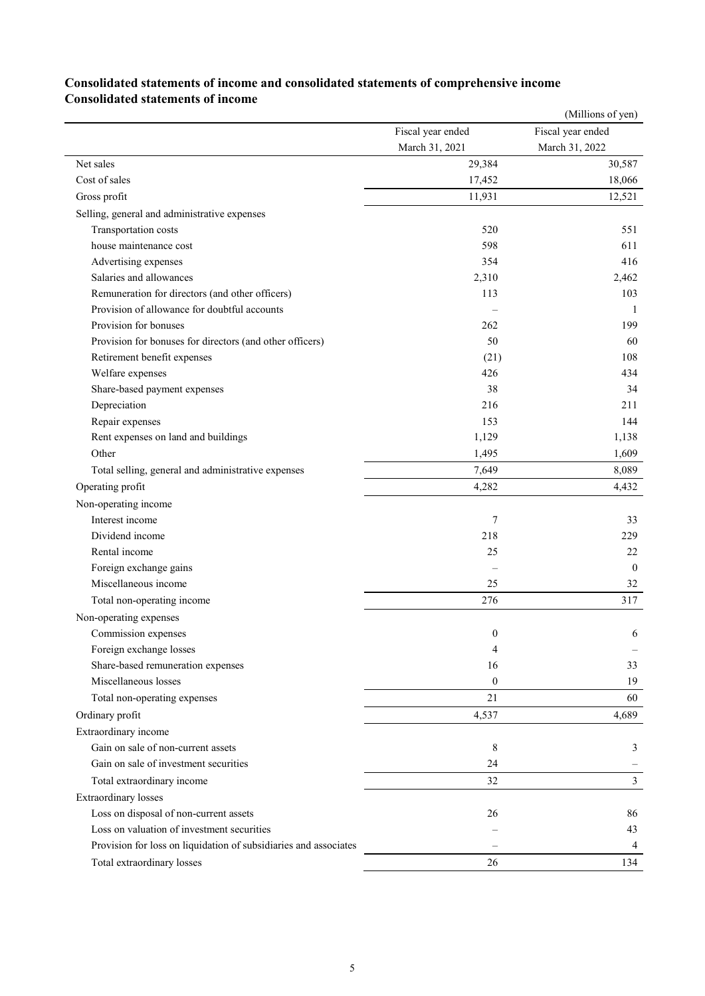## **Consolidated statements of income and consolidated statements of comprehensive income Consolidated statements of income**

|                                                                  |                   | (Millions of yen) |
|------------------------------------------------------------------|-------------------|-------------------|
|                                                                  | Fiscal year ended | Fiscal year ended |
|                                                                  | March 31, 2021    | March 31, 2022    |
| Net sales                                                        | 29,384            | 30,587            |
| Cost of sales                                                    | 17,452            | 18,066            |
| Gross profit                                                     | 11,931            | 12,521            |
| Selling, general and administrative expenses                     |                   |                   |
| Transportation costs                                             | 520               | 551               |
| house maintenance cost                                           | 598               | 611               |
| Advertising expenses                                             | 354               | 416               |
| Salaries and allowances                                          | 2,310             | 2,462             |
| Remuneration for directors (and other officers)                  | 113               | 103               |
| Provision of allowance for doubtful accounts                     |                   | -1                |
| Provision for bonuses                                            | 262               | 199               |
| Provision for bonuses for directors (and other officers)         | 50                | 60                |
| Retirement benefit expenses                                      | (21)              | 108               |
| Welfare expenses                                                 | 426               | 434               |
| Share-based payment expenses                                     | 38                | 34                |
| Depreciation                                                     | 216               | 211               |
| Repair expenses                                                  | 153               | 144               |
| Rent expenses on land and buildings                              | 1,129             | 1,138             |
| Other                                                            | 1,495             | 1,609             |
| Total selling, general and administrative expenses               | 7,649             | 8,089             |
| Operating profit                                                 | 4,282             | 4,432             |
| Non-operating income                                             |                   |                   |
| Interest income                                                  | 7                 | 33                |
| Dividend income                                                  | 218               | 229               |
| Rental income                                                    | 25                | 22                |
| Foreign exchange gains                                           |                   | $\mathbf{0}$      |
| Miscellaneous income                                             | 25                | 32                |
| Total non-operating income                                       | 276               | 317               |
| Non-operating expenses                                           |                   |                   |
| Commission expenses                                              | $\boldsymbol{0}$  | 6                 |
| Foreign exchange losses                                          | 4                 |                   |
| Share-based remuneration expenses                                | 16                | 33                |
| Miscellaneous losses                                             | $\boldsymbol{0}$  | 19                |
| Total non-operating expenses                                     | 21                | 60                |
| Ordinary profit                                                  | 4,537             | 4,689             |
| Extraordinary income                                             |                   |                   |
| Gain on sale of non-current assets                               | 8                 | 3                 |
| Gain on sale of investment securities                            | 24                |                   |
| Total extraordinary income                                       | 32                | 3                 |
| <b>Extraordinary</b> losses                                      |                   |                   |
| Loss on disposal of non-current assets                           | 26                | 86                |
| Loss on valuation of investment securities                       |                   | 43                |
| Provision for loss on liquidation of subsidiaries and associates |                   | 4                 |
| Total extraordinary losses                                       | 26                | 134               |
|                                                                  |                   |                   |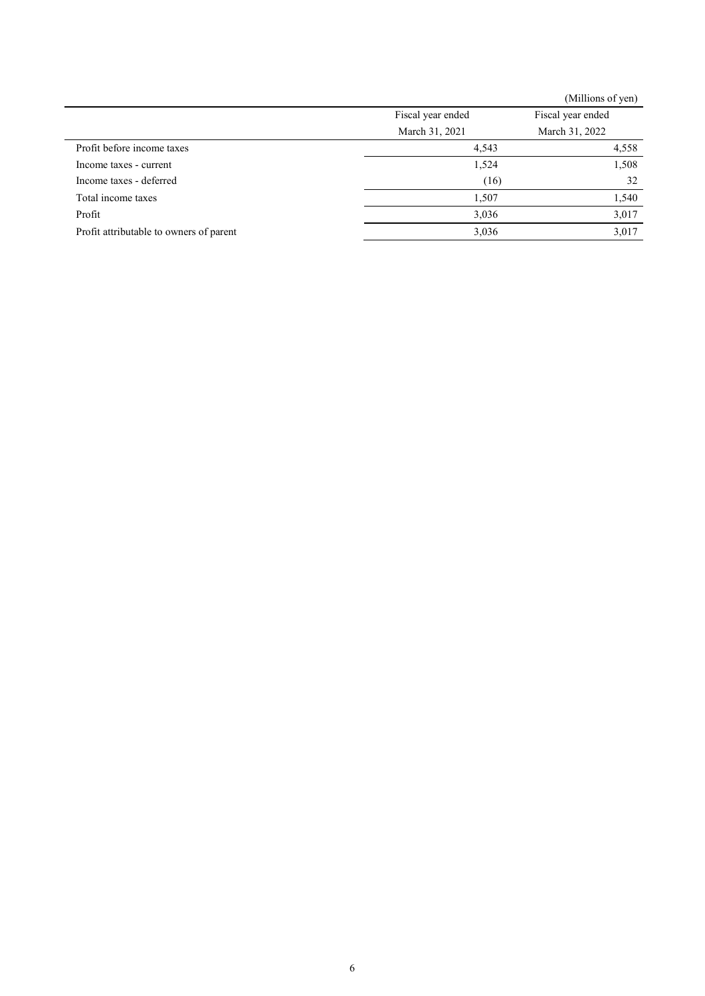|                                         |                   | (Millions of yen) |
|-----------------------------------------|-------------------|-------------------|
|                                         | Fiscal year ended | Fiscal year ended |
|                                         | March 31, 2021    | March 31, 2022    |
| Profit before income taxes              | 4,543             | 4,558             |
| Income taxes - current                  | 1,508<br>1,524    |                   |
| Income taxes - deferred                 | (16)              | 32                |
| Total income taxes                      | 1,507             | 1,540             |
| Profit                                  | 3,036             | 3,017             |
| Profit attributable to owners of parent | 3,036             | 3,017             |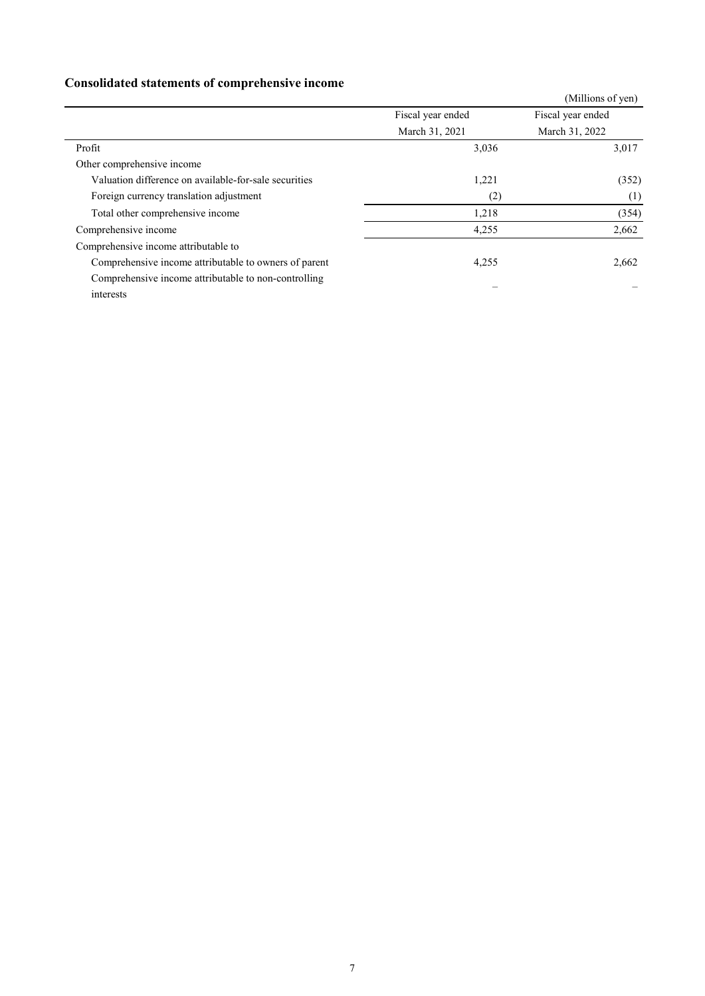## **Consolidated statements of comprehensive income**

|                                                       |                   | (Millions of yen) |
|-------------------------------------------------------|-------------------|-------------------|
|                                                       | Fiscal year ended | Fiscal year ended |
|                                                       | March 31, 2021    | March 31, 2022    |
| Profit                                                | 3,036             | 3,017             |
| Other comprehensive income                            |                   |                   |
| Valuation difference on available-for-sale securities | 1,221             | (352)             |
| Foreign currency translation adjustment               | (2)               | (1)               |
| Total other comprehensive income                      | 1,218             | (354)             |
| Comprehensive income                                  | 4,255             | 2,662             |
| Comprehensive income attributable to                  |                   |                   |
| Comprehensive income attributable to owners of parent | 4,255             | 2,662             |
| Comprehensive income attributable to non-controlling  |                   |                   |
| interests                                             |                   |                   |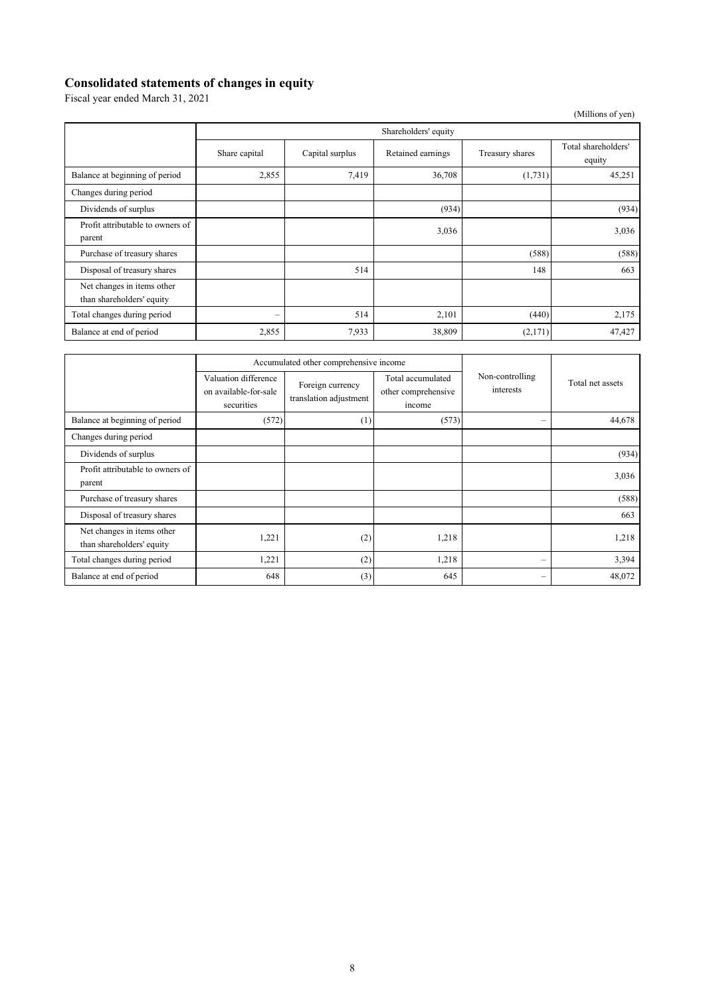### **Consolidated statements of changes in equity**

Fiscal year ended March 31, 2021

| (Millions of yen)                                       |                          |                      |                   |                 |                               |  |
|---------------------------------------------------------|--------------------------|----------------------|-------------------|-----------------|-------------------------------|--|
|                                                         |                          | Shareholders' equity |                   |                 |                               |  |
|                                                         | Share capital            | Capital surplus      | Retained earnings | Treasury shares | Total shareholders'<br>equity |  |
| Balance at beginning of period                          | 2,855                    | 7,419                | 36,708            | (1,731)         | 45,251                        |  |
| Changes during period                                   |                          |                      |                   |                 |                               |  |
| Dividends of surplus                                    |                          |                      | (934)             |                 | (934)                         |  |
| Profit attributable to owners of<br>parent              |                          |                      | 3,036             |                 | 3,036                         |  |
| Purchase of treasury shares                             |                          |                      |                   | (588)           | (588)                         |  |
| Disposal of treasury shares                             |                          | 514                  |                   | 148             | 663                           |  |
| Net changes in items other<br>than shareholders' equity |                          |                      |                   |                 |                               |  |
| Total changes during period                             | $\overline{\phantom{m}}$ | 514                  | 2,101             | (440)           | 2,175                         |  |
| Balance at end of period                                | 2,855                    | 7,933                | 38,809            | (2,171)         | 47,427                        |  |

|                                                         | Accumulated other comprehensive income                      |                                            |                                                    |                              |                  |
|---------------------------------------------------------|-------------------------------------------------------------|--------------------------------------------|----------------------------------------------------|------------------------------|------------------|
|                                                         | Valuation difference<br>on available-for-sale<br>securities | Foreign currency<br>translation adjustment | Total accumulated<br>other comprehensive<br>income | Non-controlling<br>interests | Total net assets |
| Balance at beginning of period                          | (572)                                                       | (1)                                        | (573)                                              | -                            | 44,678           |
| Changes during period                                   |                                                             |                                            |                                                    |                              |                  |
| Dividends of surplus                                    |                                                             |                                            |                                                    |                              | (934)            |
| Profit attributable to owners of<br>parent              |                                                             |                                            |                                                    |                              | 3,036            |
| Purchase of treasury shares                             |                                                             |                                            |                                                    |                              | (588)            |
| Disposal of treasury shares                             |                                                             |                                            |                                                    |                              | 663              |
| Net changes in items other<br>than shareholders' equity | 1,221                                                       | (2)                                        | 1,218                                              |                              | 1,218            |
| Total changes during period                             | 1,221                                                       | (2)                                        | 1,218                                              | $\qquad \qquad =$            | 3,394            |
| Balance at end of period                                | 648                                                         | (3)                                        | 645                                                | $\qquad \qquad =$            | 48,072           |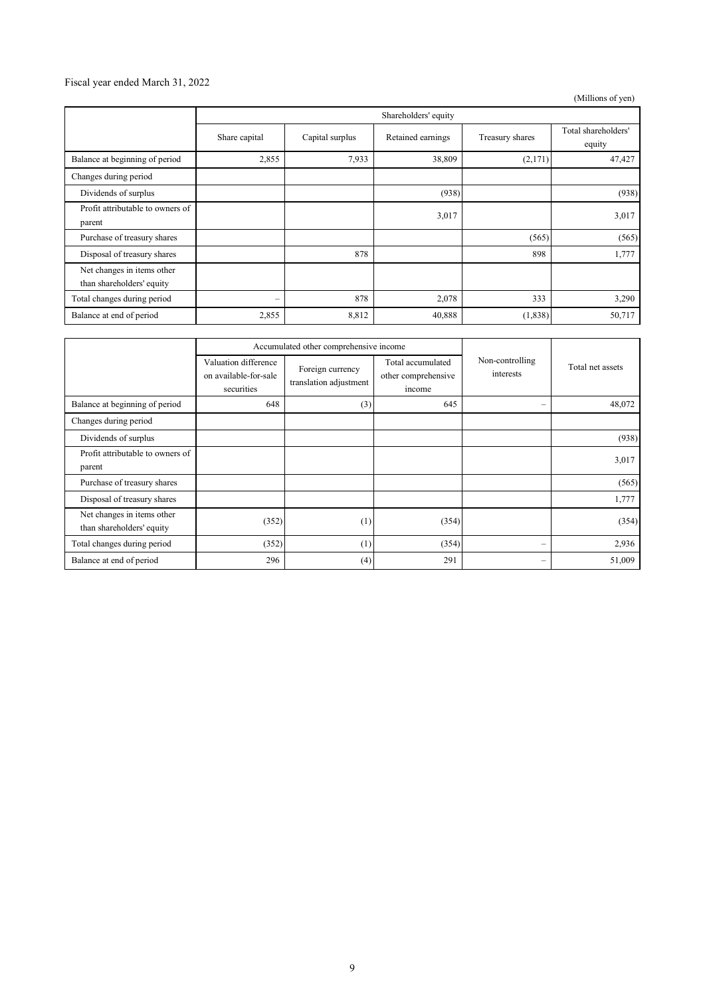## Fiscal year ended March 31, 2022

(Millions of yen)

|                                                         | Shareholders' equity     |                 |                   |                 |                               |
|---------------------------------------------------------|--------------------------|-----------------|-------------------|-----------------|-------------------------------|
|                                                         | Share capital            | Capital surplus | Retained earnings | Treasury shares | Total shareholders'<br>equity |
| Balance at beginning of period                          | 2,855                    | 7,933           | 38,809            | (2,171)         | 47,427                        |
| Changes during period                                   |                          |                 |                   |                 |                               |
| Dividends of surplus                                    |                          |                 | (938)             |                 | (938)                         |
| Profit attributable to owners of<br>parent              |                          |                 | 3,017             |                 | 3,017                         |
| Purchase of treasury shares                             |                          |                 |                   | (565)           | (565)                         |
| Disposal of treasury shares                             |                          | 878             |                   | 898             | 1,777                         |
| Net changes in items other<br>than shareholders' equity |                          |                 |                   |                 |                               |
| Total changes during period                             | $\overline{\phantom{m}}$ | 878             | 2,078             | 333             | 3,290                         |
| Balance at end of period                                | 2,855                    | 8,812           | 40,888            | (1,838)         | 50,717                        |

|                                                         | Accumulated other comprehensive income                      |                                            |                                                    |                              |                  |
|---------------------------------------------------------|-------------------------------------------------------------|--------------------------------------------|----------------------------------------------------|------------------------------|------------------|
|                                                         | Valuation difference<br>on available-for-sale<br>securities | Foreign currency<br>translation adjustment | Total accumulated<br>other comprehensive<br>income | Non-controlling<br>interests | Total net assets |
| Balance at beginning of period                          | 648                                                         | (3)                                        | 645                                                | $\qquad \qquad =$            | 48,072           |
| Changes during period                                   |                                                             |                                            |                                                    |                              |                  |
| Dividends of surplus                                    |                                                             |                                            |                                                    |                              | (938)            |
| Profit attributable to owners of<br>parent              |                                                             |                                            |                                                    |                              | 3,017            |
| Purchase of treasury shares                             |                                                             |                                            |                                                    |                              | (565)            |
| Disposal of treasury shares                             |                                                             |                                            |                                                    |                              | 1,777            |
| Net changes in items other<br>than shareholders' equity | (352)                                                       | (1)                                        | (354)                                              |                              | (354)            |
| Total changes during period                             | (352)                                                       | (1)                                        | (354)                                              | -                            | 2,936            |
| Balance at end of period                                | 296                                                         | (4)                                        | 291                                                | $\qquad \qquad =$            | 51,009           |